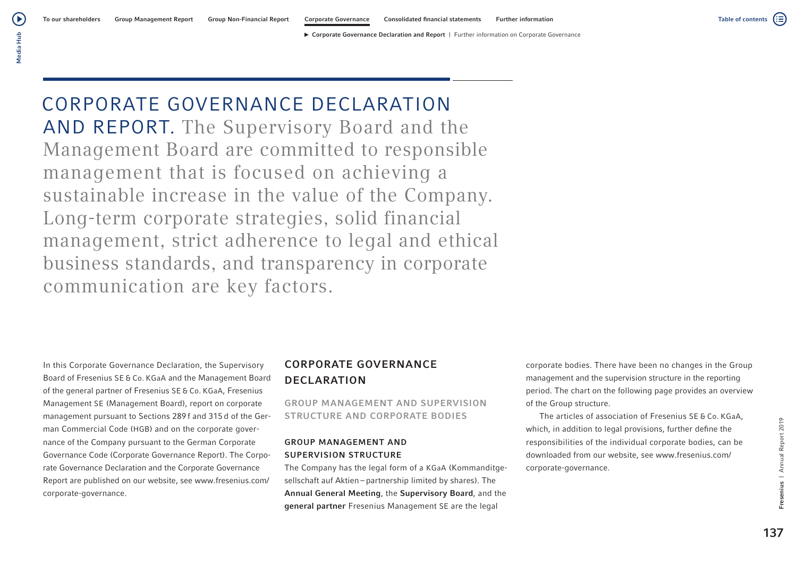CORPORATE GOVERNANCE DECLARATION AND REPORT. The Supervisory Board and the Management Board are committed to responsible management that is focused on achieving a sustainable increase in the value of the Company. Long-term corporate strategies, solid financial management, strict adherence to legal and ethical business standards, and transparency in corporate communication are key factors.

In this Corporate Governance Declaration, the Supervisory Board of Fresenius SE & Co. KGaA and the Management Board of the general partner of Fresenius SE & Co. KGaA, Fresenius Management SE (Management Board), report on corporate management pursuant to Sections 289 f and 315 d of the German Commercial Code (HGB) and on the corporate governance of the Company pursuant to the German Corporate Governance Code (Corporate Governance Report). The Corporate Governance Declaration and the Corporate Governance Report are published on our website, see www.fresenius.com/ corporate-governance.

## CORPORATE GOVERNANCE DECLARATION

GROUP MANAGEMENT AND SUPERVISION STRUCTURE AND CORPORATE BODIES

## GROUP MANAGEMENT AND SUPERVISION STRUCTURE

The Company has the legal form of a KGaA (Kommanditgesellschaft auf Aktien – partnership limited by shares). The Annual General Meeting, the Supervisory Board, and the general partner Fresenius Management SE are the legal

corporate bodies. There have been no changes in the Group management and the supervision structure in the reporting period. The chart on the following page provides an overview of the Group structure.

The articles of association of Fresenius SE & Co. KGaA, which, in addition to legal provisions, further define the responsibilities of the individual corporate bodies, can be downloaded from our website, see www.fresenius.com/ corporate-governance.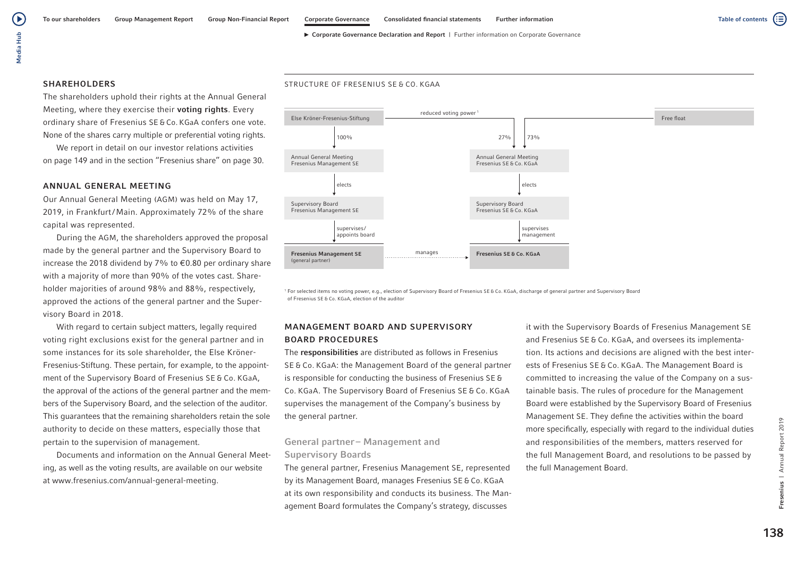# Media Hub Media Hub

́ ⊳

## **SHAREHOLDERS**

The shareholders uphold their rights at the Annual General Meeting, where they exercise their **voting rights**. Every ordinary share of Fresenius SE & Co. KGaA confers one vote. None of the shares carry multiple or preferential voting rights.

We report in detail on our investor relations activities on page 149 and in the section "Fresenius share" on page 30.

### ANNUAL GENERAL MEETING

Our Annual General Meeting (AGM) was held on May 17, 2019, in Frankfurt/Main. Approximately 72% of the share capital was represented.

During the AGM, the shareholders approved the proposal made by the general partner and the Supervisory Board to increase the 2018 dividend by 7% to €0.80 per ordinary share with a majority of more than 90% of the votes cast. Shareholder majorities of around 98% and 88%, respectively, approved the actions of the general partner and the Supervisory Board in 2018.

With regard to certain subject matters, legally required voting right exclusions exist for the general partner and in some instances for its sole shareholder, the Else Kröner-Fresenius-Stiftung. These pertain, for example, to the appointment of the Supervisory Board of Fresenius SE & Co. KGaA, the approval of the actions of the general partner and the members of the Supervisory Board, and the selection of the auditor. This guarantees that the remaining shareholders retain the sole authority to decide on these matters, especially those that pertain to the supervision of management.

Documents and information on the Annual General Meeting, as well as the voting results, are available on our website at www.fresenius.com/annual-general-meeting.





<sup>1</sup> For selected items no voting power, e.g., election of Supervisory Board of Fresenius SE & Co. KGaA, discharge of general partner and Supervisory Board of Fresenius SE & Co. KGaA, election of the auditor

## MANAGEMENT BOARD AND SUPERVISORY BOARD PROCEDURES

The responsibilities are distributed as follows in Fresenius SE & Co. KGaA: the Management Board of the general partner is responsible for conducting the business of Fresenius SE & Co. KGaA. The Supervisory Board of Fresenius SE & Co. KGaA supervises the management of the Company's business by the general partner.

## General partner – Management and Supervisory Boards

The general partner, Fresenius Management SE, represented by its Management Board, manages Fresenius SE & Co. KGaA at its own responsibility and conducts its business. The Management Board formulates the Company's strategy, discusses

it with the Supervisory Boards of Fresenius Management SE and Fresenius SE & Co. KGaA, and oversees its implementation. Its actions and decisions are aligned with the best interests of Fresenius SE & Co. KGaA. The Management Board is committed to increasing the value of the Company on a sustainable basis. The rules of procedure for the Management Board were established by the Supervisory Board of Fresenius Management SE. They define the activities within the board more specifically, especially with regard to the individual duties and responsibilities of the members, matters reserved for the full Management Board, and resolutions to be passed by the full Management Board.

⋐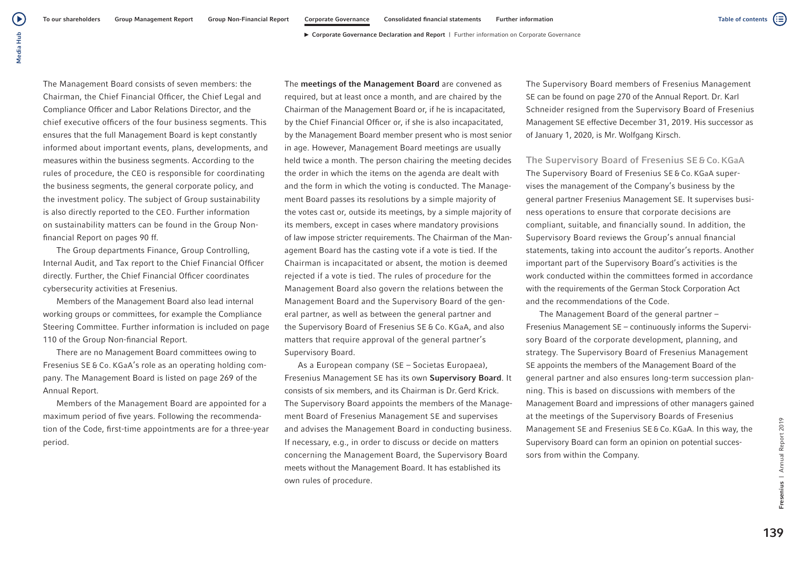(≔)

▶ Corporate Governance Declaration and Report | Further information on Corporate Governance

 $\blacktriangleright$ 

The Management Board consists of seven members: the Chairman, the Chief Financial Officer, the Chief Legal and Compliance Officer and Labor Relations Director, and the chief executive officers of the four business segments. This ensures that the full Management Board is kept constantly informed about important events, plans, developments, and measures within the business segments. According to the rules of procedure, the CEO is responsible for coordinating the business segments, the general corporate policy, and the investment policy. The subject of Group sustainability is also directly reported to the CEO. Further information on sustainability matters can be found in the Group Nonfinancial Report on pages 90 ff.

The Group departments Finance, Group Controlling, Internal Audit, and Tax report to the Chief Financial Officer directly. Further, the Chief Financial Officer coordinates cybersecurity activities at Fresenius.

Members of the Management Board also lead internal working groups or committees, for example the Compliance Steering Committee. Further information is included on page 110 of the Group Non-financial Report.

There are no Management Board committees owing to Fresenius SE & Co. KGaA's role as an operating holding company. The Management Board is listed on page 269 of the Annual Report.

Members of the Management Board are appointed for a maximum period of five years. Following the recommendation of the Code, first-time appointments are for a three-year period.

The meetings of the Management Board are convened as required, but at least once a month, and are chaired by the Chairman of the Management Board or, if he is incapacitated, by the Chief Financial Officer or, if she is also incapacitated, by the Management Board member present who is most senior in age. However, Management Board meetings are usually held twice a month. The person chairing the meeting decides the order in which the items on the agenda are dealt with and the form in which the voting is conducted. The Management Board passes its resolutions by a simple majority of the votes cast or, outside its meetings, by a simple majority of its members, except in cases where mandatory provisions of law impose stricter requirements. The Chairman of the Management Board has the casting vote if a vote is tied. If the Chairman is incapacitated or absent, the motion is deemed rejected if a vote is tied. The rules of procedure for the Management Board also govern the relations between the Management Board and the Supervisory Board of the general partner, as well as between the general partner and the Supervisory Board of Fresenius SE & Co. KGaA, and also matters that require approval of the general partner's Supervisory Board.

As a European company (SE – Societas Europaea), Fresenius Management SE has its own Supervisory Board. It consists of six members, and its Chairman is Dr.Gerd Krick. The Supervisory Board appoints the members of the Management Board of Fresenius Management SE and supervises and advises the Management Board in conducting business. If necessary, e.g., in order to discuss or decide on matters concerning the Management Board, the Supervisory Board meets without the Management Board. It has established its own rules of procedure.

The Supervisory Board members of Fresenius Management SE can be found on page 270 of the Annual Report. Dr. Karl Schneider resigned from the Supervisory Board of Fresenius Management SE effective December 31, 2019. His successor as of January 1, 2020, is Mr. Wolfgang Kirsch.

The Supervisory Board of Fresenius SE & Co. KGaA The Supervisory Board of Fresenius SE & Co. KGaA supervises the management of the Company's business by the general partner Fresenius Management SE. It supervises business operations to ensure that corporate decisions are compliant, suitable, and financially sound. In addition, the Supervisory Board reviews the Group's annual financial statements, taking into account the auditor's reports. Another important part of the Supervisory Board's activities is the work conducted within the committees formed in accordance with the requirements of the German Stock Corporation Act and the recommendations of the Code.

The Management Board of the general partner – Fresenius Management SE – continuously informs the Supervisory Board of the corporate development, planning, and strategy. The Supervisory Board of Fresenius Management SE appoints the members of the Management Board of the general partner and also ensures long-term succession planning. This is based on discussions with members of the Management Board and impressions of other managers gained at the meetings of the Supervisory Boards of Fresenius Management SE and Fresenius SE & Co. KGaA. In this way, the Supervisory Board can form an opinion on potential successors from within the Company.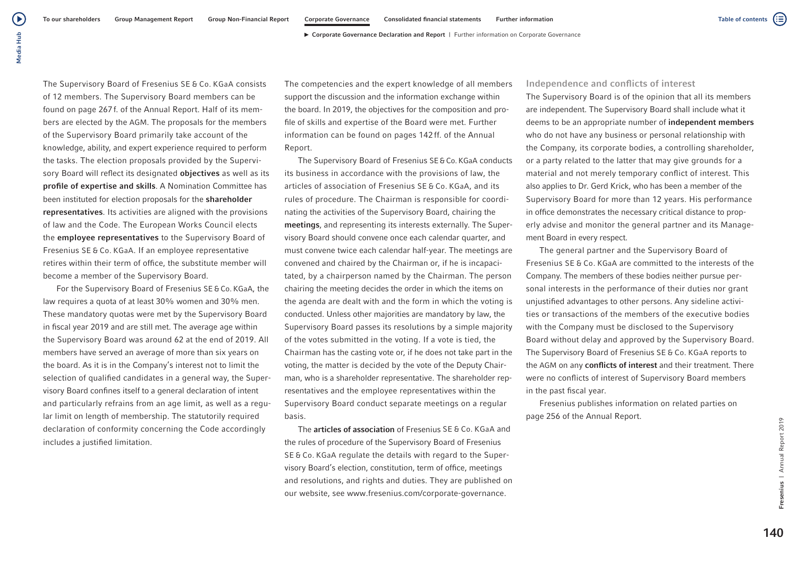The Supervisory Board of Fresenius SE & Co. KGaA consists of 12 members. The Supervisory Board members can be found on page 267f. of the Annual Report. Half of its members are elected by the AGM. The proposals for the members of the Supervisory Board primarily take account of the knowledge, ability, and expert experience required to perform the tasks. The election proposals provided by the Supervisory Board will reflect its designated **objectives** as well as its profile of expertise and skills. A Nomination Committee has been instituted for election proposals for the shareholder representatives. Its activities are aligned with the provisions of law and the Code. The European Works Council elects the employee representatives to the Supervisory Board of Fresenius SE & Co. KGaA. If an employee representative retires within their term of office, the substitute member will become a member of the Supervisory Board.

For the Supervisory Board of Fresenius SE&Co. KGaA, the law requires a quota of at least 30% women and 30% men. These mandatory quotas were met by the Supervisory Board in fiscal year 2019 and are still met. The average age within the Supervisory Board was around 62 at the end of 2019. All members have served an average of more than six years on the board. As it is in the Company's interest not to limit the selection of qualified candidates in a general way, the Supervisory Board confines itself to a general declaration of intent and particularly refrains from an age limit, as well as a regular limit on length of membership. The statutorily required declaration of conformity concerning the Code accordingly includes a justified limitation.

The competencies and the expert knowledge of all members support the discussion and the information exchange within the board. In 2019, the objectives for the composition and profile of skills and expertise of the Board were met. Further information can be found on pages 142 ff. of the Annual Report.

The Supervisory Board of Fresenius SE&Co. KGaA conducts its business in accordance with the provisions of law, the articles of association of Fresenius SE & Co. KGaA, and its rules of procedure. The Chairman is responsible for coordinating the activities of the Supervisory Board, chairing the meetings, and representing its interests externally. The Supervisory Board should convene once each calendar quarter, and must convene twice each calendar half-year. The meetings are convened and chaired by the Chairman or, if he is incapacitated, by a chairperson named by the Chairman. The person chairing the meeting decides the order in which the items on the agenda are dealt with and the form in which the voting is conducted. Unless other majorities are mandatory by law, the Supervisory Board passes its resolutions by a simple majority of the votes submitted in the voting. If a vote is tied, the Chairman has the casting vote or, if he does not take part in the voting, the matter is decided by the vote of the Deputy Chairman, who is a shareholder representative. The shareholder representatives and the employee representatives within the Supervisory Board conduct separate meetings on a regular basis.

The articles of association of Fresenius SE & Co. KGaA and the rules of procedure of the Supervisory Board of Fresenius SE & Co. KGaA regulate the details with regard to the Supervisory Board's election, constitution, term of office, meetings and resolutions, and rights and duties. They are published on our website, see www.fresenius.com/corporate-governance.

## Independence and conflicts of interest

The Supervisory Board is of the opinion that all its members are independent. The Supervisory Board shall include what it deems to be an appropriate number of independent members who do not have any business or personal relationship with the Company, its corporate bodies, a controlling shareholder, or a party related to the latter that may give grounds for a material and not merely temporary conflict of interest. This also applies to Dr. Gerd Krick, who has been a member of the Supervisory Board for more than 12 years. His performance in office demonstrates the necessary critical distance to properly advise and monitor the general partner and its Management Board in every respect.

The general partner and the Supervisory Board of Fresenius SE & Co. KGaA are committed to the interests of the Company. The members of these bodies neither pursue personal interests in the performance of their duties nor grant unjustified advantages to other persons. Any sideline activities or transactions of the members of the executive bodies with the Company must be disclosed to the Supervisory Board without delay and approved by the Supervisory Board. The Supervisory Board of Fresenius SE & Co. KGaA reports to the AGM on any conflicts of interest and their treatment. There were no conflicts of interest of Supervisory Board members in the past fiscal year.

Fresenius publishes information on related parties on page 256 of the Annual Report.

 $140$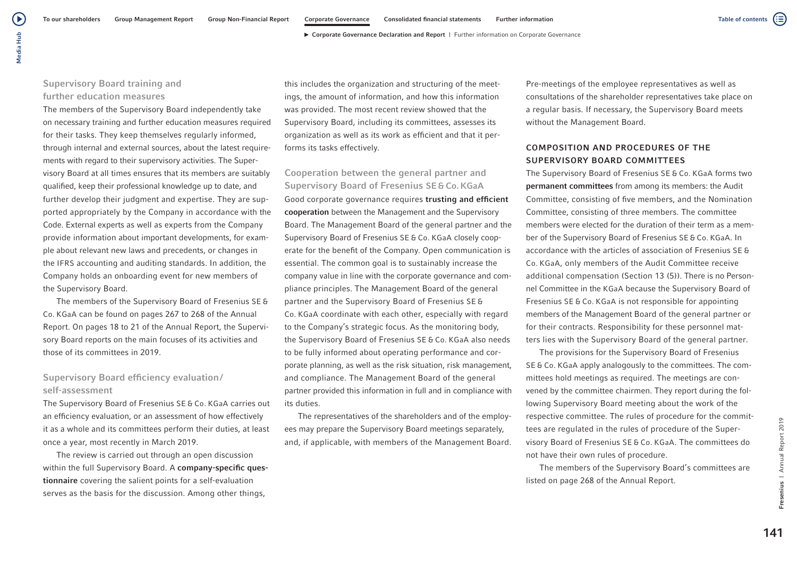## Supervisory Board training and further education measures

The members of the Supervisory Board independently take on necessary training and further education measures required for their tasks. They keep themselves regularly informed, through internal and external sources, about the latest requirements with regard to their supervisory activities. The Supervisory Board at all times ensures that its members are suitably qualified, keep their professional knowledge up to date, and further develop their judgment and expertise. They are supported appropriately by the Company in accordance with the Code. External experts as well as experts from the Company provide information about important developments, for example about relevant new laws and precedents, or changes in the IFRS accounting and auditing standards. In addition, the Company holds an onboarding event for new members of the Supervisory Board.

The members of the Supervisory Board of Fresenius SE & Co. KGaA can be found on pages 267 to 268 of the Annual Report. On pages 18 to 21 of the Annual Report, the Supervisory Board reports on the main focuses of its activities and those of its committees in 2019.

## Supervisory Board efficiency evaluation/ self-assessment

The Supervisory Board of Fresenius SE & Co. KGaA carries out an efficiency evaluation, or an assessment of how effectively it as a whole and its committees perform their duties, at least once a year, most recently in March 2019.

The review is carried out through an open discussion within the full Supervisory Board. A company-specific questionnaire covering the salient points for a self-evaluation serves as the basis for the discussion. Among other things,

this includes the organization and structuring of the meetings, the amount of information, and how this information was provided. The most recent review showed that the Supervisory Board, including its committees, assesses its organization as well as its work as efficient and that it performs its tasks effectively.

Cooperation between the general partner and Supervisory Board of Fresenius SE & Co. KGaA Good corporate governance requires trusting and efficient cooperation between the Management and the Supervisory Board. The Management Board of the general partner and the Supervisory Board of Fresenius SE & Co. KGaA closely cooperate for the benefit of the Company. Open communication is essential. The common goal is to sustainably increase the company value in line with the corporate governance and compliance principles. The Management Board of the general partner and the Supervisory Board of Fresenius SE & Co. KGaA coordinate with each other, especially with regard to the Company's strategic focus. As the monitoring body, the Supervisory Board of Fresenius SE & Co. KGaA also needs to be fully informed about operating performance and corporate planning, as well as the risk situation, risk management, and compliance. The Management Board of the general partner provided this information in full and in compliance with its duties.

The representatives of the shareholders and of the employees may prepare the Supervisory Board meetings separately, and, if applicable, with members of the Management Board. Pre-meetings of the employee representatives as well as consultations of the shareholder representatives take place on a regular basis. If necessary, the Supervisory Board meets without the Management Board.

## COMPOSITION AND PROCEDURES OF THE SUPERVISORY BOARD COMMITTEES

The Supervisory Board of Fresenius SE & Co. KGaA forms two permanent committees from among its members: the Audit Committee, consisting of five members, and the Nomination Committee, consisting of three members. The committee members were elected for the duration of their term as a member of the Supervisory Board of Fresenius SE & Co. KGaA. In accordance with the articles of association of Fresenius SE & Co. KGaA, only members of the Audit Committee receive additional compensation (Section 13 (5)). There is no Personnel Committee in the KGaA because the Supervisory Board of Fresenius SE & Co. KGaA is not responsible for appointing members of the Management Board of the general partner or for their contracts. Responsibility for these personnel matters lies with the Supervisory Board of the general partner.

The provisions for the Supervisory Board of Fresenius SE & Co. KGaA apply analogously to the committees. The committees hold meetings as required. The meetings are convened by the committee chairmen. They report during the following Supervisory Board meeting about the work of the respective committee. The rules of procedure for the committees are regulated in the rules of procedure of the Supervisory Board of Fresenius SE & Co. KGaA. The committees do not have their own rules of procedure.

The members of the Supervisory Board's committees are listed on page 268 of the Annual Report.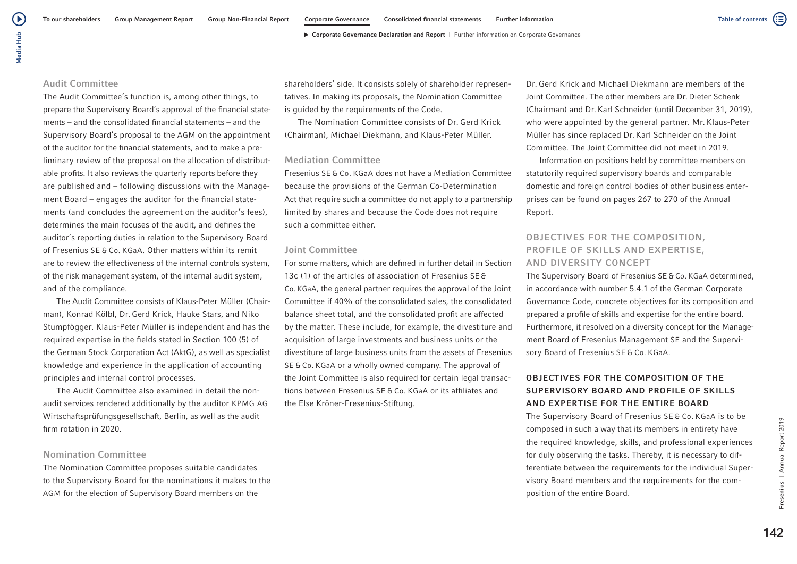## Audit Committee

The Audit Committee's function is, among other things, to prepare the Supervisory Board's approval of the financial statements – and the consolidated financial statements – and the Supervisory Board's proposal to the AGM on the appointment of the auditor for the financial statements, and to make a preliminary review of the proposal on the allocation of distributable profits. It also reviews the quarterly reports before they are published and – following discussions with the Management Board – engages the auditor for the financial statements (and concludes the agreement on the auditor's fees), determines the main focuses of the audit, and defines the auditor's reporting duties in relation to the Supervisory Board of Fresenius SE & Co. KGaA. Other matters within its remit are to review the effectiveness of the internal controls system, of the risk management system, of the internal audit system, and of the compliance.

The Audit Committee consists of Klaus-Peter Müller (Chairman), Konrad Kölbl, Dr. Gerd Krick, Hauke Stars, and Niko Stumpfögger. Klaus-Peter Müller is independent and has the required expertise in the fields stated in Section 100 (5) of the German Stock Corporation Act (AktG), as well as specialist knowledge and experience in the application of accounting principles and internal control processes.

The Audit Committee also examined in detail the nonaudit services rendered additionally by the auditor KPMG AG Wirtschaftsprüfungsgesellschaft, Berlin, as well as the audit firm rotation in 2020.

## Nomination Committee

The Nomination Committee proposes suitable candidates to the Supervisory Board for the nominations it makes to the AGM for the election of Supervisory Board members on the

shareholders' side. It consists solely of shareholder representatives. In making its proposals, the Nomination Committee is guided by the requirements of the Code.

The Nomination Committee consists of Dr. Gerd Krick (Chairman), Michael Diekmann, and Klaus-Peter Müller.

### Mediation Committee

Fresenius SE & Co. KGaA does not have a Mediation Committee because the provisions of the German Co-Determination Act that require such a committee do not apply to a partnership limited by shares and because the Code does not require such a committee either.

#### Joint Committee

For some matters, which are defined in further detail in Section 13c (1) of the articles of association of Fresenius SE & Co. KGaA, the general partner requires the approval of the Joint Committee if 40% of the consolidated sales, the consolidated balance sheet total, and the consolidated profit are affected by the matter. These include, for example, the divestiture and acquisition of large investments and business units or the divestiture of large business units from the assets of Fresenius SE & Co. KGaA or a wholly owned company. The approval of the Joint Committee is also required for certain legal transactions between Fresenius SE & Co. KGaA or its affiliates and the Else Kröner-Fresenius-Stiftung.

Dr. Gerd Krick and Michael Diekmann are members of the Joint Committee. The other members are Dr. Dieter Schenk (Chairman) and Dr.Karl Schneider (until December 31, 2019), who were appointed by the general partner. Mr. Klaus-Peter Müller has since replaced Dr. Karl Schneider on the Joint Committee. The Joint Committee did not meet in 2019.

Information on positions held by committee members on statutorily required supervisory boards and comparable domestic and foreign control bodies of other business enterprises can be found on pages 267 to 270 of the Annual Report.

## OBJECTIVES FOR THE COMPOSITION, PROFILE OF SKILLS AND EXPERTISE, AND DIVERSITY CONCEPT

The Supervisory Board of Fresenius SE & Co. KGaA determined, in accordance with number 5.4.1 of the German Corporate Governance Code, concrete objectives for its composition and prepared a profile of skills and expertise for the entire board. Furthermore, it resolved on a diversity concept for the Management Board of Fresenius Management SE and the Supervisory Board of Fresenius SE & Co. KGaA.

## OBJECTIVES FOR THE COMPOSITION OF THE SUPERVISORY BOARD AND PROFILE OF SKILLS AND EXPERTISE FOR THE ENTIRE BOARD

The Supervisory Board of Fresenius SE & Co. KGaA is to be composed in such a way that its members in entirety have the required knowledge, skills, and professional experiences for duly observing the tasks. Thereby, it is necessary to differentiate between the requirements for the individual Supervisory Board members and the requirements for the composition of the entire Board.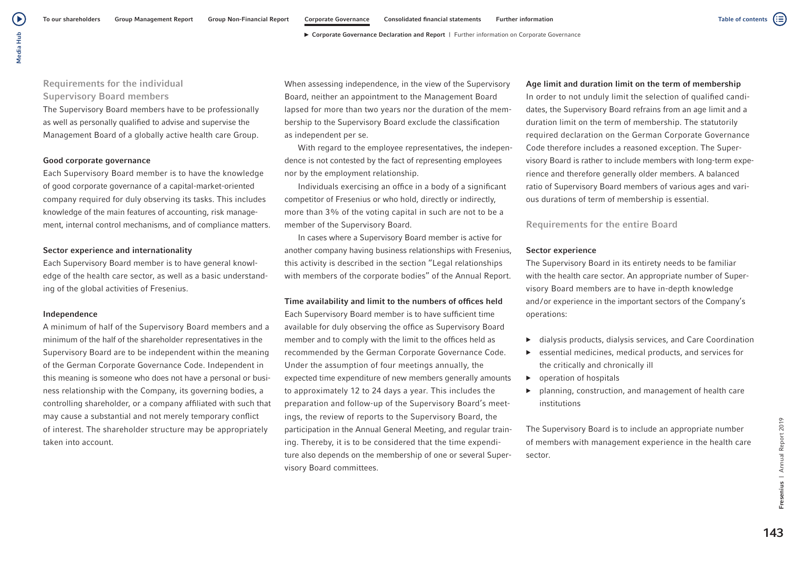Media Hub Media Hub

 $\blacktriangleright$ 

## Requirements for the individual Supervisory Board members

The Supervisory Board members have to be professionally as well as personally qualified to advise and supervise the Management Board of a globally active health care Group.

## Good corporate governance

Each Supervisory Board member is to have the knowledge of good corporate governance of a capital-market-oriented company required for duly observing its tasks. This includes knowledge of the main features of accounting, risk management, internal control mechanisms, and of compliance matters.

## Sector experience and internationality

Each Supervisory Board member is to have general knowledge of the health care sector, as well as a basic understanding of the global activities of Fresenius.

## Independence

A minimum of half of the Supervisory Board members and a minimum of the half of the shareholder representatives in the Supervisory Board are to be independent within the meaning of the German Corporate Governance Code. Independent in this meaning is someone who does not have a personal or business relationship with the Company, its governing bodies, a controlling shareholder, or a company affiliated with such that may cause a substantial and not merely temporary conflict of interest. The shareholder structure may be appropriately taken into account.

When assessing independence, in the view of the Supervisory Board, neither an appointment to the Management Board lapsed for more than two years nor the duration of the membership to the Supervisory Board exclude the classification as independent per se.

With regard to the employee representatives, the independence is not contested by the fact of representing employees nor by the employment relationship.

Individuals exercising an office in a body of a significant competitor of Fresenius or who hold, directly or indirectly, more than 3% of the voting capital in such are not to be a member of the Supervisory Board.

In cases where a Supervisory Board member is active for another company having business relationships with Fresenius, this activity is described in the section "Legal relationships with members of the corporate bodies" of the Annual Report.

#### Time availability and limit to the numbers of offices held

Each Supervisory Board member is to have sufficient time available for duly observing the office as Supervisory Board member and to comply with the limit to the offices held as recommended by the German Corporate Governance Code. Under the assumption of four meetings annually, the expected time expenditure of new members generally amounts to approximately 12 to 24 days a year. This includes the preparation and follow-up of the Supervisory Board's meetings, the review of reports to the Supervisory Board, the participation in the Annual General Meeting, and regular training. Thereby, it is to be considered that the time expenditure also depends on the membership of one or several Supervisory Board committees.

## Age limit and duration limit on the term of membership

In order to not unduly limit the selection of qualified candidates, the Supervisory Board refrains from an age limit and a duration limit on the term of membership. The statutorily required declaration on the German Corporate Governance Code therefore includes a reasoned exception. The Supervisory Board is rather to include members with long-term experience and therefore generally older members. A balanced ratio of Supervisory Board members of various ages and various durations of term of membership is essential.

## Requirements for the entire Board

## Sector experience

The Supervisory Board in its entirety needs to be familiar with the health care sector. An appropriate number of Supervisory Board members are to have in-depth knowledge and/or experience in the important sectors of the Company's operations:

- ▶ dialysis products, dialysis services, and Care Coordination
- essential medicines, medical products, and services for the critically and chronically ill
- ▶ operation of hospitals
- ▶ planning, construction, and management of health care institutions

The Supervisory Board is to include an appropriate number of members with management experience in the health care sector.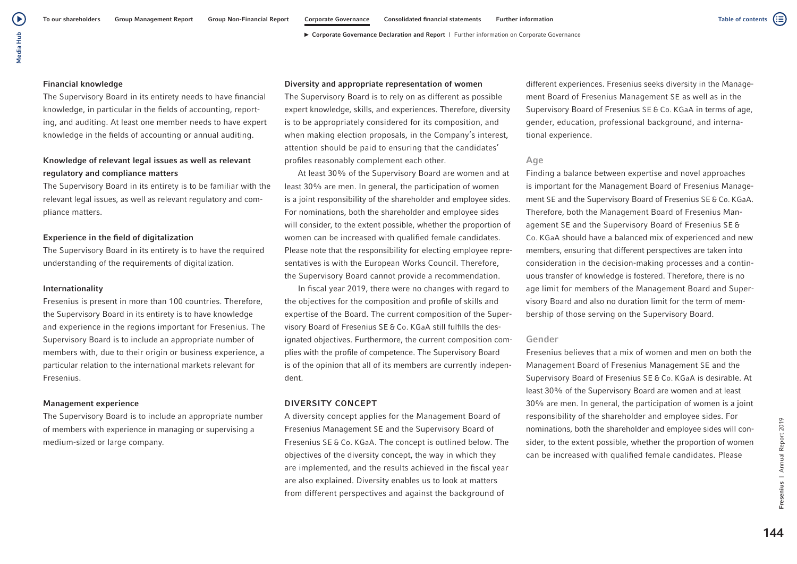(▶

( ≣

#### Financial knowledge

The Supervisory Board in its entirety needs to have financial knowledge, in particular in the fields of accounting, reporting, and auditing. At least one member needs to have expert knowledge in the fields of accounting or annual auditing.

## Knowledge of relevant legal issues as well as relevant regulatory and compliance matters

The Supervisory Board in its entirety is to be familiar with the relevant legal issues, as well as relevant regulatory and compliance matters.

### Experience in the field of digitalization

The Supervisory Board in its entirety is to have the required understanding of the requirements of digitalization.

#### Internationality

Fresenius is present in more than 100 countries. Therefore, the Supervisory Board in its entirety is to have knowledge and experience in the regions important for Fresenius. The Supervisory Board is to include an appropriate number of members with, due to their origin or business experience, a particular relation to the international markets relevant for Fresenius.

#### Management experience

The Supervisory Board is to include an appropriate number of members with experience in managing or supervising a medium-sized or large company.

## Diversity and appropriate representation of women

The Supervisory Board is to rely on as different as possible expert knowledge, skills, and experiences. Therefore, diversity is to be appropriately considered for its composition, and when making election proposals, in the Company's interest, attention should be paid to ensuring that the candidates' profiles reasonably complement each other.

At least 30% of the Supervisory Board are women and at least 30% are men. In general, the participation of women is a joint responsibility of the shareholder and employee sides. For nominations, both the shareholder and employee sides will consider, to the extent possible, whether the proportion of women can be increased with qualified female candidates. Please note that the responsibility for electing employee representatives is with the European Works Council. Therefore, the Supervisory Board cannot provide a recommendation.

In fiscal year 2019, there were no changes with regard to the objectives for the composition and profile of skills and expertise of the Board. The current composition of the Supervisory Board of Fresenius SE & Co. KGaA still fulfills the designated objectives. Furthermore, the current composition complies with the profile of competence. The Supervisory Board is of the opinion that all of its members are currently independent.

#### DIVERSITY CONCEPT

A diversity concept applies for the Management Board of Fresenius Management SE and the Supervisory Board of Fresenius SE & Co. KGaA. The concept is outlined below. The objectives of the diversity concept, the way in which they are implemented, and the results achieved in the fiscal year are also explained. Diversity enables us to look at matters from different perspectives and against the background of

different experiences. Fresenius seeks diversity in the Management Board of Fresenius Management SE as well as in the Supervisory Board of Fresenius SE & Co. KGaA in terms of age, gender, education, professional background, and international experience.

### Age

Finding a balance between expertise and novel approaches is important for the Management Board of Fresenius Management SE and the Supervisory Board of Fresenius SE & Co. KGaA. Therefore, both the Management Board of Fresenius Management SE and the Supervisory Board of Fresenius SE & Co. KGaA should have a balanced mix of experienced and new members, ensuring that different perspectives are taken into consideration in the decision-making processes and a continuous transfer of knowledge is fostered. Therefore, there is no age limit for members of the Management Board and Supervisory Board and also no duration limit for the term of membership of those serving on the Supervisory Board.

#### Gender

Fresenius believes that a mix of women and men on both the Management Board of Fresenius Management SE and the Supervisory Board of Fresenius SE & Co. KGaA is desirable. At least 30% of the Supervisory Board are women and at least 30% are men. In general, the participation of women is a joint responsibility of the shareholder and employee sides. For nominations, both the shareholder and employee sides will consider, to the extent possible, whether the proportion of women can be increased with qualified female candidates. Please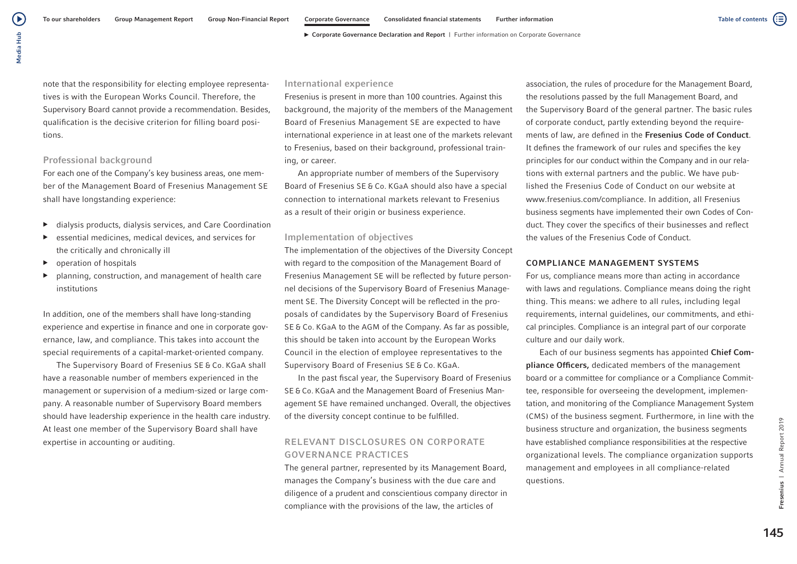note that the responsibility for electing employee representatives is with the European Works Council. Therefore, the Supervisory Board cannot provide a recommendation. Besides, qualification is the decisive criterion for filling board positions.

## Professional background

For each one of the Company's key business areas, one member of the Management Board of Fresenius Management SE shall have longstanding experience:

- ▶ dialysis products, dialysis services, and Care Coordination
- ▶ essential medicines, medical devices, and services for the critically and chronically ill
- ▶ operation of hospitals
- planning, construction, and management of health care institutions

In addition, one of the members shall have long-standing experience and expertise in finance and one in corporate governance, law, and compliance. This takes into account the special requirements of a capital-market-oriented company.

The Supervisory Board of Fresenius SE & Co. KGaA shall have a reasonable number of members experienced in the management or supervision of a medium-sized or large company. A reasonable number of Supervisory Board members should have leadership experience in the health care industry. At least one member of the Supervisory Board shall have expertise in accounting or auditing.

#### International experience

Fresenius is present in more than 100 countries. Against this background, the majority of the members of the Management Board of Fresenius Management SE are expected to have international experience in at least one of the markets relevant to Fresenius, based on their background, professional training, or career.

An appropriate number of members of the Supervisory Board of Fresenius SE & Co. KGaA should also have a special connection to international markets relevant to Fresenius as a result of their origin or business experience.

### Implementation of objectives

The implementation of the objectives of the Diversity Concept with regard to the composition of the Management Board of Fresenius Management SE will be reflected by future personnel decisions of the Supervisory Board of Fresenius Management SE. The Diversity Concept will be reflected in the proposals of candidates by the Supervisory Board of Fresenius SE & Co. KGaA to the AGM of the Company. As far as possible, this should be taken into account by the European Works Council in the election of employee representatives to the Supervisory Board of Fresenius SE & Co. KGaA.

In the past fiscal year, the Supervisory Board of Fresenius SE & Co. KGaA and the Management Board of Fresenius Management SE have remained unchanged. Overall, the objectives of the diversity concept continue to be fulfilled.

## RELEVANT DISCLOSURES ON CORPORATE GOVERNANCE PRACTICES

The general partner, represented by its Management Board, manages the Company's business with the due care and diligence of a prudent and conscientious company director in compliance with the provisions of the law, the articles of

association, the rules of procedure for the Management Board, the resolutions passed by the full Management Board, and the Supervisory Board of the general partner. The basic rules of corporate conduct, partly extending beyond the requirements of law, are defined in the Fresenius Code of Conduct. It defines the framework of our rules and specifies the key principles for our conduct within the Company and in our relations with external partners and the public. We have published the Fresenius Code of Conduct on our website at www.fresenius.com/compliance. In addition, all Fresenius business segments have implemented their own Codes of Conduct. They cover the specifics of their businesses and reflect the values of the Fresenius Code of Conduct.

#### COMPLIANCE MANAGEMENT SYSTEMS

For us, compliance means more than acting in accordance with laws and regulations. Compliance means doing the right thing. This means: we adhere to all rules, including legal requirements, internal guidelines, our commitments, and ethical principles. Compliance is an integral part of our corporate culture and our daily work.

Each of our business segments has appointed Chief Compliance Officers, dedicated members of the management board or a committee for compliance or a Compliance Committee, responsible for overseeing the development, implementation, and monitoring of the Compliance Management System (CMS) of the business segment. Furthermore, in line with the business structure and organization, the business segments have established compliance responsibilities at the respective organizational levels. The compliance organization supports management and employees in all compliance-related questions.

(≔)

Table of contents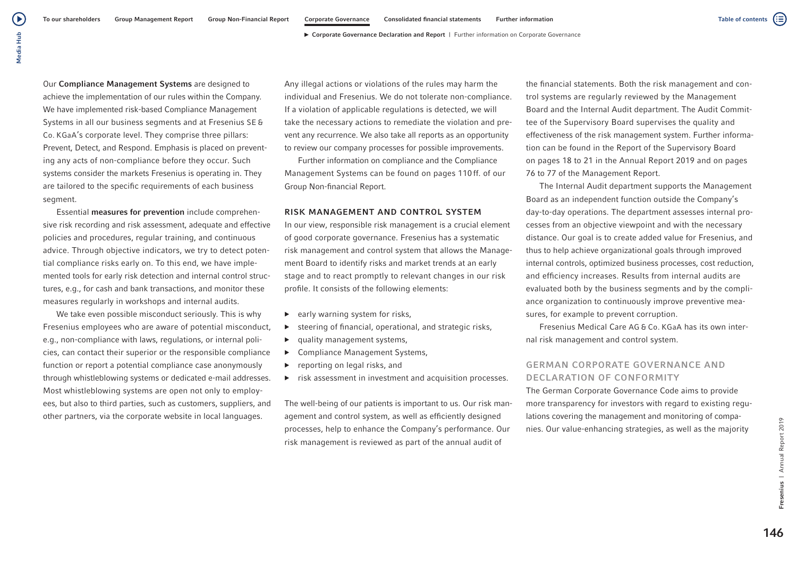Our Compliance Management Systems are designed to achieve the implementation of our rules within the Company. We have implemented risk-based Compliance Management Systems in all our business segments and at Fresenius SE & Co. KGaA's corporate level. They comprise three pillars: Prevent, Detect, and Respond. Emphasis is placed on preventing any acts of non-compliance before they occur. Such systems consider the markets Fresenius is operating in. They are tailored to the specific requirements of each business segment.

Essential measures for prevention include comprehensive risk recording and risk assessment, adequate and effective policies and procedures, regular training, and continuous advice. Through objective indicators, we try to detect potential compliance risks early on. To this end, we have implemented tools for early risk detection and internal control structures, e.g., for cash and bank transactions, and monitor these measures regularly in workshops and internal audits.

We take even possible misconduct seriously. This is why Fresenius employees who are aware of potential misconduct, e.g., non-compliance with laws, regulations, or internal policies, can contact their superior or the responsible compliance function or report a potential compliance case anonymously through whistleblowing systems or dedicated e-mail addresses. Most whistleblowing systems are open not only to employees, but also to third parties, such as customers, suppliers, and other partners, via the corporate website in local languages.

Any illegal actions or violations of the rules may harm the individual and Fresenius. We do not tolerate non-compliance. If a violation of applicable regulations is detected, we will take the necessary actions to remediate the violation and prevent any recurrence. We also take all reports as an opportunity to review our company processes for possible improvements.

Further information on compliance and the Compliance Management Systems can be found on pages 110 ff. of our Group Non-financial Report.

#### RISK MANAGEMENT AND CONTROL SYSTEM

In our view, responsible risk management is a crucial element of good corporate governance. Fresenius has a systematic risk management and control system that allows the Management Board to identify risks and market trends at an early stage and to react promptly to relevant changes in our risk profile. It consists of the following elements:

- ▶ early warning system for risks,
- ▶ steering of financial, operational, and strategic risks,
- ▶ quality management systems,
- ▶ Compliance Management Systems,
- ▶ reporting on legal risks, and
- ▶ risk assessment in investment and acquisition processes.

The well-being of our patients is important to us. Our risk management and control system, as well as efficiently designed processes, help to enhance the Company's performance. Our risk management is reviewed as part of the annual audit of

the financial statements. Both the risk management and control systems are regularly reviewed by the Management Board and the Internal Audit department. The Audit Committee of the Supervisory Board supervises the quality and effectiveness of the risk management system. Further information can be found in the Report of the Supervisory Board on pages 18 to 21 in the Annual Report 2019 and on pages 76 to 77 of the Management Report.

The Internal Audit department supports the Management Board as an independent function outside the Company's day-to-day operations. The department assesses internal processes from an objective viewpoint and with the necessary distance. Our goal is to create added value for Fresenius, and thus to help achieve organizational goals through improved internal controls, optimized business processes, cost reduction, and efficiency increases. Results from internal audits are evaluated both by the business segments and by the compliance organization to continuously improve preventive measures, for example to prevent corruption.

Fresenius Medical Care AG & Co. KGaA has its own internal risk management and control system.

## GERMAN CORPORATE GOVERNANCE AND DECLARATION OF CONFORMITY

The German Corporate Governance Code aims to provide more transparency for investors with regard to existing regulations covering the management and monitoring of companies. Our value-enhancing strategies, as well as the majority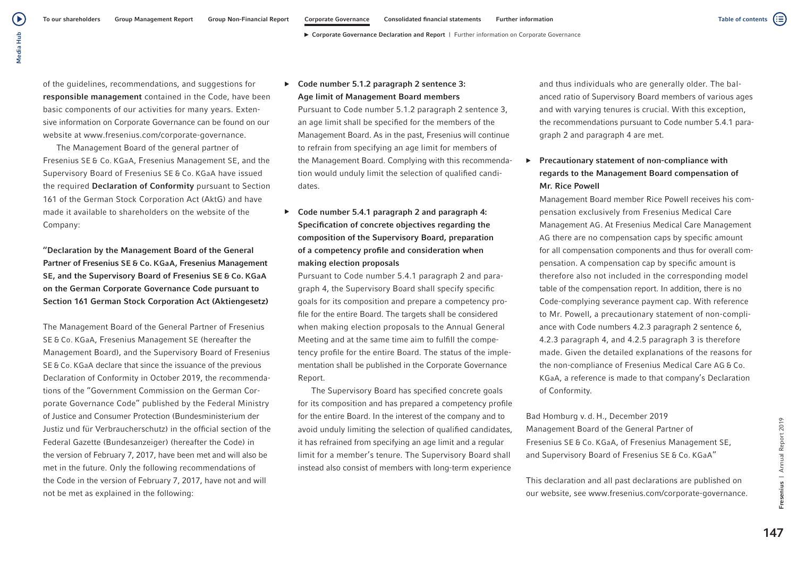Media Hub Media Hub

 $\left( \blacktriangleright \right)$ 

of the quidelines, recommendations, and suggestions for responsible management contained in the Code, have been basic components of our activities for many years. Extensive information on Corporate Governance can be found on our website at www.fresenius.com/corporate-governance.

The Management Board of the general partner of Fresenius SE & Co. KGaA, Fresenius Management SE, and the Supervisory Board of Fresenius SE & Co. KGaA have issued the required **Declaration of Conformity** pursuant to Section 161 of the German Stock Corporation Act (AktG) and have made it available to shareholders on the website of the Company:

"Declaration by the Management Board of the General Partner of Fresenius SE & Co. KGaA, Fresenius Management SE, and the Supervisory Board of Fresenius SE & Co. KGaA on the German Corporate Governance Code pursuant to Section 161 German Stock Corporation Act (Aktiengesetz)

The Management Board of the General Partner of Fresenius SE & Co. KGaA, Fresenius Management SE (hereafter the Management Board), and the Supervisory Board of Fresenius SE & Co. KGaA declare that since the issuance of the previous Declaration of Conformity in October 2019, the recommendations of the "Government Commission on the German Corporate Governance Code" published by the Federal Ministry of Justice and Consumer Protection (Bundesministerium der Justiz und für Verbraucherschutz) in the official section of the Federal Gazette (Bundesanzeiger) (hereafter the Code) in the version of February 7, 2017, have been met and will also be met in the future. Only the following recommendations of the Code in the version of February 7, 2017, have not and will not be met as explained in the following:

## ▶ Code number 5.1.2 paragraph 2 sentence 3: Age limit of Management Board members

Pursuant to Code number 5.1.2 paragraph 2 sentence 3, an age limit shall be specified for the members of the Management Board. As in the past, Fresenius will continue to refrain from specifying an age limit for members of the Management Board. Complying with this recommendation would unduly limit the selection of qualified candidates.

▶ Code number 5.4.1 paragraph 2 and paragraph 4: Specification of concrete objectives regarding the composition of the Supervisory Board, preparation of a competency profile and consideration when making election proposals

Pursuant to Code number 5.4.1 paragraph 2 and paragraph 4, the Supervisory Board shall specify specific goals for its composition and prepare a competency profile for the entire Board. The targets shall be considered when making election proposals to the Annual General Meeting and at the same time aim to fulfill the competency profile for the entire Board. The status of the implementation shall be published in the Corporate Governance Report.

The Supervisory Board has specified concrete goals for its composition and has prepared a competency profile for the entire Board. In the interest of the company and to avoid unduly limiting the selection of qualified candidates, it has refrained from specifying an age limit and a regular limit for a member's tenure. The Supervisory Board shall instead also consist of members with long-term experience

and thus individuals who are generally older. The balanced ratio of Supervisory Board members of various ages and with varying tenures is crucial. With this exception, the recommendations pursuant to Code number 5.4.1 paragraph 2 and paragraph 4 are met.

## ▶ Precautionary statement of non-compliance with regards to the Management Board compensation of Mr. Rice Powell

Management Board member Rice Powell receives his compensation exclusively from Fresenius Medical Care Management AG. At Fresenius Medical Care Management AG there are no compensation caps by specific amount for all compensation components and thus for overall compensation. A compensation cap by specific amount is therefore also not included in the corresponding model table of the compensation report. In addition, there is no Code-complying severance payment cap. With reference to Mr. Powell, a precautionary statement of non-compliance with Code numbers 4.2.3 paragraph 2 sentence 6, 4.2.3 paragraph 4, and 4.2.5 paragraph 3 is therefore made. Given the detailed explanations of the reasons for the non-compliance of Fresenius Medical Care AG & Co. KGaA, a reference is made to that company's Declaration of Conformity.

Bad Homburg v. d. H., December 2019 Management Board of the General Partner of Fresenius SE & Co. KGaA, of Fresenius Management SE, and Supervisory Board of Fresenius SE & Co. KGaA"

This declaration and all past declarations are published on our website, see www.fresenius.com/corporate-governance.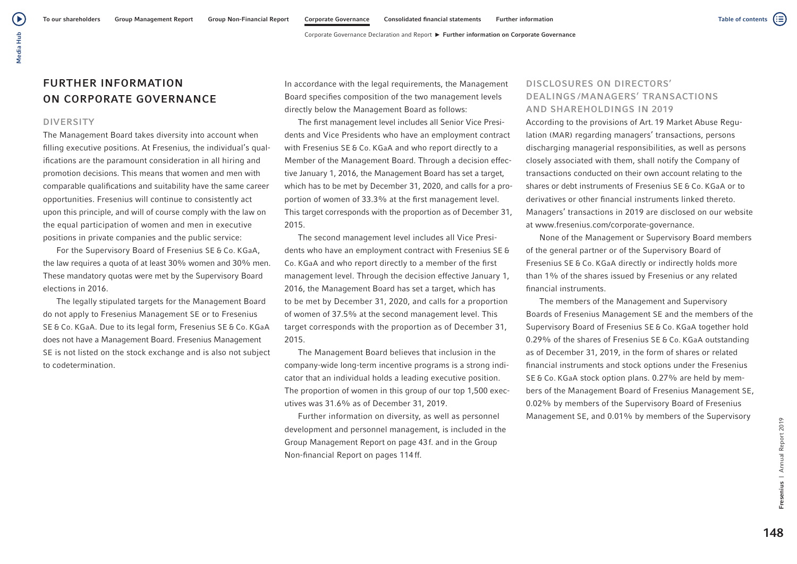# FURTHER INFORMATION ON CORPORATE GOVERNANCE

#### DIVERSITY

The Management Board takes diversity into account when filling executive positions. At Fresenius, the individual's qualifications are the paramount consideration in all hiring and promotion decisions. This means that women and men with comparable qualifications and suitability have the same career opportunities. Fresenius will continue to consistently act upon this principle, and will of course comply with the law on the equal participation of women and men in executive positions in private companies and the public service:

For the Supervisory Board of Fresenius SE & Co. KGaA, the law requires a quota of at least 30% women and 30% men. These mandatory quotas were met by the Supervisory Board elections in 2016.

The legally stipulated targets for the Management Board do not apply to Fresenius Management SE or to Fresenius SE & Co. KGaA. Due to its legal form, Fresenius SE & Co. KGaA does not have a Management Board. Fresenius Management SE is not listed on the stock exchange and is also not subject to codetermination.

In accordance with the legal requirements, the Management Board specifies composition of the two management levels directly below the Management Board as follows:

The first management level includes all Senior Vice Presidents and Vice Presidents who have an employment contract with Fresenius SE & Co. KGaA and who report directly to a Member of the Management Board. Through a decision effective January 1, 2016, the Management Board has set a target, which has to be met by December 31, 2020, and calls for a proportion of women of 33.3% at the first management level. This target corresponds with the proportion as of December 31, 2015.

The second management level includes all Vice Presidents who have an employment contract with Fresenius SE & Co. KGaA and who report directly to a member of the first management level. Through the decision effective January 1, 2016, the Management Board has set a target, which has to be met by December 31, 2020, and calls for a proportion of women of 37.5% at the second management level. This target corresponds with the proportion as of December 31, 2015.

The Management Board believes that inclusion in the company-wide long-term incentive programs is a strong indicator that an individual holds a leading executive position. The proportion of women in this group of our top 1,500 executives was 31.6% as of December 31, 2019.

Further information on diversity, as well as personnel development and personnel management, is included in the Group Management Report on page 43f. and in the Group Non-financial Report on pages 114ff.

## DISCLOSURES ON DIRECTORS' DEALINGS /MANAGERS' TRANSACTIONS AND SHAREHOLDINGS IN 2019

According to the provisions of Art. 19 Market Abuse Regulation (MAR) regarding managers' transactions, persons discharging managerial responsibilities, as well as persons closely associated with them, shall notify the Company of transactions conducted on their own account relating to the shares or debt instruments of Fresenius SE & Co. KGaA or to derivatives or other financial instruments linked thereto. Managers' transactions in 2019 are disclosed on our website at www.fresenius.com/corporate-governance.

None of the Management or Supervisory Board members of the general partner or of the Supervisory Board of Fresenius SE & Co. KGaA directly or indirectly holds more than 1% of the shares issued by Fresenius or any related financial instruments.

The members of the Management and Supervisory Boards of Fresenius Management SE and the members of the Supervisory Board of Fresenius SE & Co. KGaA together hold 0.29% of the shares of Fresenius SE & Co. KGaA outstanding as of December 31, 2019, in the form of shares or related financial instruments and stock options under the Fresenius SE & Co. KGaA stock option plans. 0.27% are held by members of the Management Board of Fresenius Management SE, 0.02% by members of the Supervisory Board of Fresenius Management SE, and 0.01% by members of the Supervisory